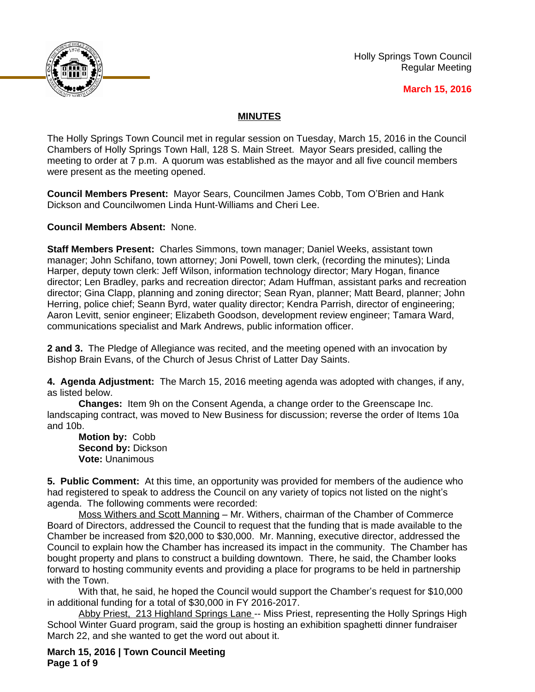

Holly Springs Town Council Regular Meeting

### **March 15, 2016**

## **MINUTES**

The Holly Springs Town Council met in regular session on Tuesday, March 15, 2016 in the Council Chambers of Holly Springs Town Hall, 128 S. Main Street. Mayor Sears presided, calling the meeting to order at 7 p.m. A quorum was established as the mayor and all five council members were present as the meeting opened.

**Council Members Present:** Mayor Sears, Councilmen James Cobb, Tom O'Brien and Hank Dickson and Councilwomen Linda Hunt-Williams and Cheri Lee.

**Council Members Absent:** None.

**Staff Members Present:** Charles Simmons, town manager; Daniel Weeks, assistant town manager; John Schifano, town attorney; Joni Powell, town clerk, (recording the minutes); Linda Harper, deputy town clerk: Jeff Wilson, information technology director; Mary Hogan, finance director; Len Bradley, parks and recreation director; Adam Huffman, assistant parks and recreation director; Gina Clapp, planning and zoning director; Sean Ryan, planner; Matt Beard, planner; John Herring, police chief; Seann Byrd, water quality director; Kendra Parrish, director of engineering; Aaron Levitt, senior engineer; Elizabeth Goodson, development review engineer; Tamara Ward, communications specialist and Mark Andrews, public information officer.

**2 and 3.** The Pledge of Allegiance was recited, and the meeting opened with an invocation by Bishop Brain Evans, of the Church of Jesus Christ of Latter Day Saints.

**4. Agenda Adjustment:** The March 15, 2016 meeting agenda was adopted with changes, if any, as listed below.

**Changes:** Item 9h on the Consent Agenda, a change order to the Greenscape Inc. landscaping contract, was moved to New Business for discussion; reverse the order of Items 10a and 10b.

**Motion by:** Cobb **Second by:** Dickson **Vote:** Unanimous

**5. Public Comment:** At this time, an opportunity was provided for members of the audience who had registered to speak to address the Council on any variety of topics not listed on the night's agenda. The following comments were recorded:

Moss Withers and Scott Manning – Mr. Withers, chairman of the Chamber of Commerce Board of Directors, addressed the Council to request that the funding that is made available to the Chamber be increased from \$20,000 to \$30,000. Mr. Manning, executive director, addressed the Council to explain how the Chamber has increased its impact in the community. The Chamber has bought property and plans to construct a building downtown. There, he said, the Chamber looks forward to hosting community events and providing a place for programs to be held in partnership with the Town.

With that, he said, he hoped the Council would support the Chamber's request for \$10,000 in additional funding for a total of \$30,000 in FY 2016-2017.

Abby Priest, 213 Highland Springs Lane -- Miss Priest, representing the Holly Springs High School Winter Guard program, said the group is hosting an exhibition spaghetti dinner fundraiser March 22, and she wanted to get the word out about it.

**March 15, 2016 | Town Council Meeting Page 1 of 9**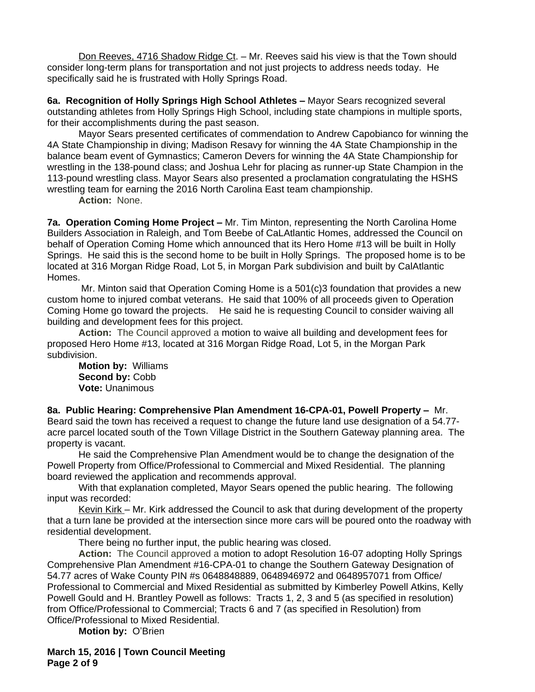Don Reeves, 4716 Shadow Ridge Ct. – Mr. Reeves said his view is that the Town should consider long-term plans for transportation and not just projects to address needs today. He specifically said he is frustrated with Holly Springs Road.

**6a. Recognition of Holly Springs High School Athletes –** Mayor Sears recognized several outstanding athletes from Holly Springs High School, including state champions in multiple sports, for their accomplishments during the past season.

Mayor Sears presented certificates of commendation to Andrew Capobianco for winning the 4A State Championship in diving; Madison Resavy for winning the 4A State Championship in the balance beam event of Gymnastics; Cameron Devers for winning the 4A State Championship for wrestling in the 138-pound class; and Joshua Lehr for placing as runner-up State Champion in the 113-pound wrestling class. Mayor Sears also presented a proclamation congratulating the HSHS wrestling team for earning the 2016 North Carolina East team championship.

**Action:** None.

**7a. Operation Coming Home Project –** Mr. Tim Minton, representing the North Carolina Home Builders Association in Raleigh, and Tom Beebe of CaLAtlantic Homes, addressed the Council on behalf of Operation Coming Home which announced that its Hero Home #13 will be built in Holly Springs. He said this is the second home to be built in Holly Springs. The proposed home is to be located at 316 Morgan Ridge Road, Lot 5, in Morgan Park subdivision and built by CalAtlantic Homes.

 Mr. Minton said that Operation Coming Home is a 501(c)3 foundation that provides a new custom home to injured combat veterans. He said that 100% of all proceeds given to Operation Coming Home go toward the projects. He said he is requesting Council to consider waiving all building and development fees for this project.

**Action:** The Council approved a motion to waive all building and development fees for proposed Hero Home #13, located at 316 Morgan Ridge Road, Lot 5, in the Morgan Park subdivision.

**Motion by:** Williams **Second by:** Cobb **Vote:** Unanimous

8a. Public Hearing: Comprehensive Plan Amendment 16-CPA-01, Powell Property - Mr. Beard said the town has received a request to change the future land use designation of a 54.77 acre parcel located south of the Town Village District in the Southern Gateway planning area. The property is vacant.

He said the Comprehensive Plan Amendment would be to change the designation of the Powell Property from Office/Professional to Commercial and Mixed Residential. The planning board reviewed the application and recommends approval.

With that explanation completed, Mayor Sears opened the public hearing. The following input was recorded:

Kevin Kirk – Mr. Kirk addressed the Council to ask that during development of the property that a turn lane be provided at the intersection since more cars will be poured onto the roadway with residential development.

There being no further input, the public hearing was closed.

**Action:** The Council approved a motion to adopt Resolution 16-07 adopting Holly Springs Comprehensive Plan Amendment #16-CPA-01 to change the Southern Gateway Designation of 54.77 acres of Wake County PIN #s 0648848889, 0648946972 and 0648957071 from Office/ Professional to Commercial and Mixed Residential as submitted by Kimberley Powell Atkins, Kelly Powell Gould and H. Brantley Powell as follows: Tracts 1, 2, 3 and 5 (as specified in resolution) from Office/Professional to Commercial; Tracts 6 and 7 (as specified in Resolution) from Office/Professional to Mixed Residential.

**Motion by:** O'Brien

**March 15, 2016 | Town Council Meeting Page 2 of 9**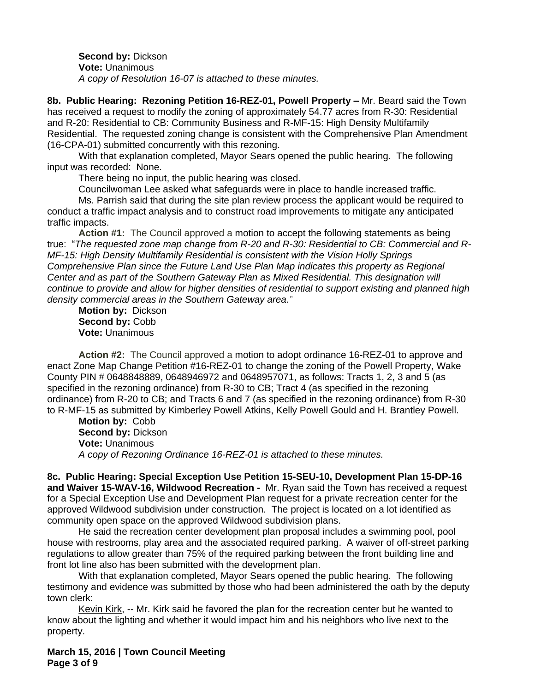**Second by:** Dickson **Vote:** Unanimous *A copy of Resolution 16-07 is attached to these minutes.*

8b. Public Hearing: Rezoning Petition 16-REZ-01, Powell Property - Mr. Beard said the Town has received a request to modify the zoning of approximately 54.77 acres from R-30: Residential and R-20: Residential to CB: Community Business and R-MF-15: High Density Multifamily Residential. The requested zoning change is consistent with the Comprehensive Plan Amendment (16-CPA-01) submitted concurrently with this rezoning.

With that explanation completed, Mayor Sears opened the public hearing. The following input was recorded: None.

There being no input, the public hearing was closed.

Councilwoman Lee asked what safeguards were in place to handle increased traffic.

Ms. Parrish said that during the site plan review process the applicant would be required to conduct a traffic impact analysis and to construct road improvements to mitigate any anticipated traffic impacts.

**Action #1:** The Council approved a motion to accept the following statements as being true: "*The requested zone map change from R-20 and R-30: Residential to CB: Commercial and R-MF-15: High Density Multifamily Residential is consistent with the Vision Holly Springs Comprehensive Plan since the Future Land Use Plan Map indicates this property as Regional Center and as part of the Southern Gateway Plan as Mixed Residential. This designation will continue to provide and allow for higher densities of residential to support existing and planned high density commercial areas in the Southern Gateway area."*

**Motion by:** Dickson Second by: Cobb **Vote:** Unanimous

**Action #2:** The Council approved a motion to adopt ordinance 16-REZ-01 to approve and enact Zone Map Change Petition #16-REZ-01 to change the zoning of the Powell Property, Wake County PIN # 0648848889, 0648946972 and 0648957071, as follows: Tracts 1, 2, 3 and 5 (as specified in the rezoning ordinance) from R-30 to CB; Tract 4 (as specified in the rezoning ordinance) from R-20 to CB; and Tracts 6 and 7 (as specified in the rezoning ordinance) from R-30 to R-MF-15 as submitted by Kimberley Powell Atkins, Kelly Powell Gould and H. Brantley Powell.

**Motion by:** Cobb **Second by: Dickson Vote:** Unanimous *A copy of Rezoning Ordinance 16-REZ-01 is attached to these minutes.*

**8c. Public Hearing: Special Exception Use Petition 15-SEU-10, Development Plan 15-DP-16 and Waiver 15-WAV-16, Wildwood Recreation -** Mr. Ryan said the Town has received a request for a Special Exception Use and Development Plan request for a private recreation center for the approved Wildwood subdivision under construction. The project is located on a lot identified as community open space on the approved Wildwood subdivision plans.

He said the recreation center development plan proposal includes a swimming pool, pool house with restrooms, play area and the associated required parking. A waiver of off-street parking regulations to allow greater than 75% of the required parking between the front building line and front lot line also has been submitted with the development plan.

With that explanation completed, Mayor Sears opened the public hearing. The following testimony and evidence was submitted by those who had been administered the oath by the deputy town clerk:

Kevin Kirk, -- Mr. Kirk said he favored the plan for the recreation center but he wanted to know about the lighting and whether it would impact him and his neighbors who live next to the property.

**March 15, 2016 | Town Council Meeting Page 3 of 9**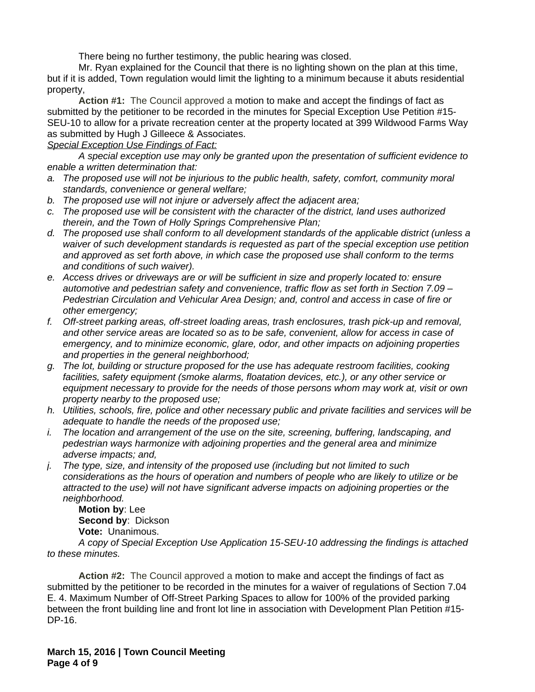There being no further testimony, the public hearing was closed.

Mr. Ryan explained for the Council that there is no lighting shown on the plan at this time, but if it is added, Town regulation would limit the lighting to a minimum because it abuts residential property,

**Action #1:** The Council approved a motion to make and accept the findings of fact as submitted by the petitioner to be recorded in the minutes for Special Exception Use Petition #15- SEU-10 to allow for a private recreation center at the property located at 399 Wildwood Farms Way as submitted by Hugh J Gilleece & Associates.

## *Special Exception Use Findings of Fact:*

*A special exception use may only be granted upon the presentation of sufficient evidence to enable a written determination that:*

- *a. The proposed use will not be injurious to the public health, safety, comfort, community moral standards, convenience or general welfare;*
- *b. The proposed use will not injure or adversely affect the adjacent area;*
- *c. The proposed use will be consistent with the character of the district, land uses authorized therein, and the Town of Holly Springs Comprehensive Plan;*
- *d. The proposed use shall conform to all development standards of the applicable district (unless a waiver of such development standards is requested as part of the special exception use petition and approved as set forth above, in which case the proposed use shall conform to the terms and conditions of such waiver).*
- *e. Access drives or driveways are or will be sufficient in size and properly located to: ensure automotive and pedestrian safety and convenience, traffic flow as set forth in Section 7.09 – Pedestrian Circulation and Vehicular Area Design; and, control and access in case of fire or other emergency;*
- *f. Off-street parking areas, off-street loading areas, trash enclosures, trash pick-up and removal, and other service areas are located so as to be safe, convenient, allow for access in case of emergency, and to minimize economic, glare, odor, and other impacts on adjoining properties and properties in the general neighborhood;*
- *g. The lot, building or structure proposed for the use has adequate restroom facilities, cooking facilities, safety equipment (smoke alarms, floatation devices, etc.), or any other service or equipment necessary to provide for the needs of those persons whom may work at, visit or own property nearby to the proposed use;*
- *h. Utilities, schools, fire, police and other necessary public and private facilities and services will be adequate to handle the needs of the proposed use;*
- *i. The location and arrangement of the use on the site, screening, buffering, landscaping, and pedestrian ways harmonize with adjoining properties and the general area and minimize adverse impacts; and,*
- *j. The type, size, and intensity of the proposed use (including but not limited to such considerations as the hours of operation and numbers of people who are likely to utilize or be attracted to the use) will not have significant adverse impacts on adjoining properties or the neighborhood.*

**Motion by**: Lee **Second by**: Dickson **Vote:** Unanimous.

*A copy of Special Exception Use Application 15-SEU-10 addressing the findings is attached to these minutes.*

**Action #2:** The Council approved a motion to make and accept the findings of fact as submitted by the petitioner to be recorded in the minutes for a waiver of regulations of Section 7.04 E. 4. Maximum Number of Off-Street Parking Spaces to allow for 100% of the provided parking between the front building line and front lot line in association with Development Plan Petition #15- DP-16.

**March 15, 2016 | Town Council Meeting Page 4 of 9**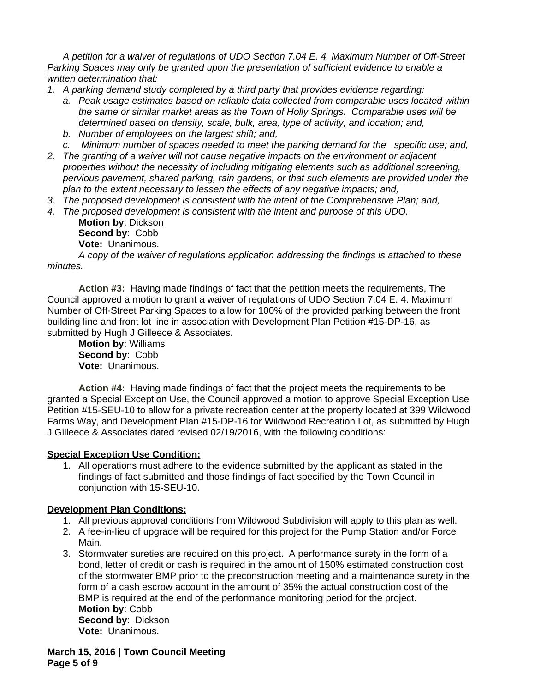*A petition for a waiver of regulations of UDO Section 7.04 E. 4. Maximum Number of Off-Street Parking Spaces may only be granted upon the presentation of sufficient evidence to enable a written determination that:*

- *1. A parking demand study completed by a third party that provides evidence regarding:*
	- *a. Peak usage estimates based on reliable data collected from comparable uses located within the same or similar market areas as the Town of Holly Springs. Comparable uses will be determined based on density, scale, bulk, area, type of activity, and location; and,*
	- *b. Number of employees on the largest shift; and,*
	- *c. Minimum number of spaces needed to meet the parking demand for the specific use; and,*
- *2. The granting of a waiver will not cause negative impacts on the environment or adjacent properties without the necessity of including mitigating elements such as additional screening, pervious pavement, shared parking, rain gardens, or that such elements are provided under the plan to the extent necessary to lessen the effects of any negative impacts; and,*
- *3. The proposed development is consistent with the intent of the Comprehensive Plan; and,*
- *4. The proposed development is consistent with the intent and purpose of this UDO.*
	- **Motion by**: Dickson **Second by**: Cobb **Vote:** Unanimous.

*A copy of the waiver of regulations application addressing the findings is attached to these minutes.*

**Action #3:** Having made findings of fact that the petition meets the requirements, The Council approved a motion to grant a waiver of regulations of UDO Section 7.04 E. 4. Maximum Number of Off-Street Parking Spaces to allow for 100% of the provided parking between the front building line and front lot line in association with Development Plan Petition #15-DP-16, as submitted by Hugh J Gilleece & Associates.

**Motion by**: Williams **Second by**: Cobb **Vote:** Unanimous.

**Action #4:** Having made findings of fact that the project meets the requirements to be granted a Special Exception Use, the Council approved a motion to approve Special Exception Use Petition #15-SEU-10 to allow for a private recreation center at the property located at 399 Wildwood Farms Way, and Development Plan #15-DP-16 for Wildwood Recreation Lot, as submitted by Hugh J Gilleece & Associates dated revised 02/19/2016, with the following conditions:

# **Special Exception Use Condition:**

1. All operations must adhere to the evidence submitted by the applicant as stated in the findings of fact submitted and those findings of fact specified by the Town Council in conjunction with 15-SEU-10.

# **Development Plan Conditions:**

- 1. All previous approval conditions from Wildwood Subdivision will apply to this plan as well.
- 2. A fee-in-lieu of upgrade will be required for this project for the Pump Station and/or Force Main.
- 3. Stormwater sureties are required on this project. A performance surety in the form of a bond, letter of credit or cash is required in the amount of 150% estimated construction cost of the stormwater BMP prior to the preconstruction meeting and a maintenance surety in the form of a cash escrow account in the amount of 35% the actual construction cost of the BMP is required at the end of the performance monitoring period for the project. **Motion by**: Cobb **Second by**: Dickson **Vote:** Unanimous.

**March 15, 2016 | Town Council Meeting Page 5 of 9**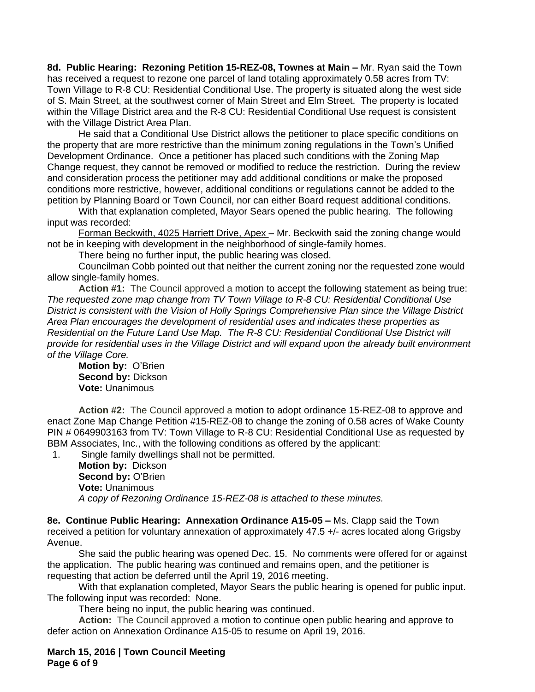8d. Public Hearing: Rezoning Petition 15-REZ-08, Townes at Main - Mr. Ryan said the Town has received a request to rezone one parcel of land totaling approximately 0.58 acres from TV: Town Village to R-8 CU: Residential Conditional Use. The property is situated along the west side of S. Main Street, at the southwest corner of Main Street and Elm Street. The property is located within the Village District area and the R-8 CU: Residential Conditional Use request is consistent with the Village District Area Plan.

He said that a Conditional Use District allows the petitioner to place specific conditions on the property that are more restrictive than the minimum zoning regulations in the Town's Unified Development Ordinance. Once a petitioner has placed such conditions with the Zoning Map Change request, they cannot be removed or modified to reduce the restriction. During the review and consideration process the petitioner may add additional conditions or make the proposed conditions more restrictive, however, additional conditions or regulations cannot be added to the petition by Planning Board or Town Council, nor can either Board request additional conditions.

With that explanation completed, Mayor Sears opened the public hearing. The following input was recorded:

Forman Beckwith, 4025 Harriett Drive, Apex - Mr. Beckwith said the zoning change would not be in keeping with development in the neighborhood of single-family homes.

There being no further input, the public hearing was closed.

Councilman Cobb pointed out that neither the current zoning nor the requested zone would allow single-family homes.

**Action #1:** The Council approved a motion to accept the following statement as being true: *The requested zone map change from TV Town Village to R-8 CU: Residential Conditional Use District is consistent with the Vision of Holly Springs Comprehensive Plan since the Village District Area Plan encourages the development of residential uses and indicates these properties as Residential on the Future Land Use Map. The R-8 CU: Residential Conditional Use District will provide for residential uses in the Village District and will expand upon the already built environment of the Village Core.*

**Motion by:** O'Brien **Second by:** Dickson **Vote:** Unanimous

**Action #2:** The Council approved a motion to adopt ordinance 15-REZ-08 to approve and enact Zone Map Change Petition #15-REZ-08 to change the zoning of 0.58 acres of Wake County PIN # 0649903163 from TV: Town Village to R-8 CU: Residential Conditional Use as requested by BBM Associates, Inc., with the following conditions as offered by the applicant:

1. Single family dwellings shall not be permitted.

**Motion by:** Dickson **Second by: O'Brien Vote:** Unanimous *A copy of Rezoning Ordinance 15-REZ-08 is attached to these minutes.*

**8e. Continue Public Hearing: Annexation Ordinance A15-05 –** Ms. Clapp said the Town received a petition for voluntary annexation of approximately 47.5 +/- acres located along Grigsby Avenue.

She said the public hearing was opened Dec. 15. No comments were offered for or against the application. The public hearing was continued and remains open, and the petitioner is requesting that action be deferred until the April 19, 2016 meeting.

With that explanation completed, Mayor Sears the public hearing is opened for public input. The following input was recorded: None.

There being no input, the public hearing was continued.

**Action:** The Council approved a motion to continue open public hearing and approve to defer action on Annexation Ordinance A15-05 to resume on April 19, 2016.

**March 15, 2016 | Town Council Meeting Page 6 of 9**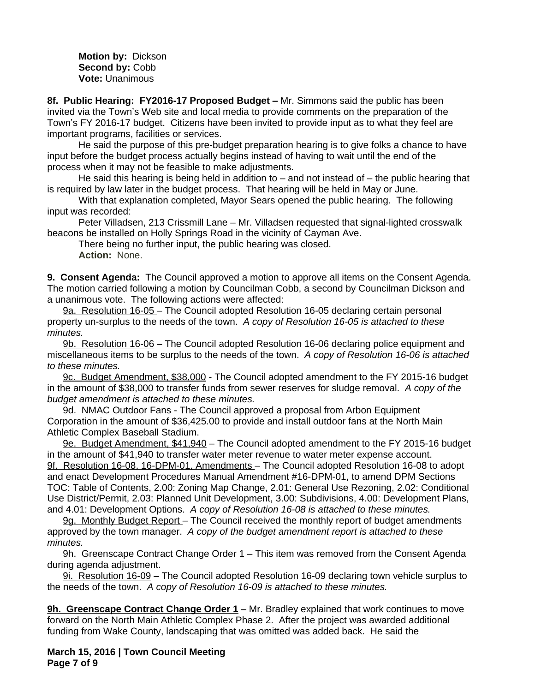**Motion by:** Dickson **Second by:** Cobb **Vote:** Unanimous

**8f. Public Hearing: FY2016-17 Proposed Budget – Mr. Simmons said the public has been** invited via the Town's Web site and local media to provide comments on the preparation of the Town's FY 2016-17 budget. Citizens have been invited to provide input as to what they feel are important programs, facilities or services.

He said the purpose of this pre-budget preparation hearing is to give folks a chance to have input before the budget process actually begins instead of having to wait until the end of the process when it may not be feasible to make adjustments.

He said this hearing is being held in addition to – and not instead of – the public hearing that is required by law later in the budget process. That hearing will be held in May or June.

With that explanation completed, Mayor Sears opened the public hearing. The following input was recorded:

Peter Villadsen, 213 Crissmill Lane – Mr. Villadsen requested that signal-lighted crosswalk beacons be installed on Holly Springs Road in the vicinity of Cayman Ave.

There being no further input, the public hearing was closed. **Action:** None.

**9. Consent Agenda:** The Council approved a motion to approve all items on the Consent Agenda. The motion carried following a motion by Councilman Cobb, a second by Councilman Dickson and a unanimous vote. The following actions were affected:

9a. Resolution 16-05 – The Council adopted Resolution 16-05 declaring certain personal property un-surplus to the needs of the town. *A copy of Resolution 16-05 is attached to these minutes.* 

9b. Resolution 16-06 – The Council adopted Resolution 16-06 declaring police equipment and miscellaneous items to be surplus to the needs of the town. *A copy of Resolution 16-06 is attached to these minutes.* 

9c. Budget Amendment, \$38,000 - The Council adopted amendment to the FY 2015-16 budget in the amount of \$38,000 to transfer funds from sewer reserves for sludge removal. *A copy of the budget amendment is attached to these minutes.*

9d. NMAC Outdoor Fans - The Council approved a proposal from Arbon Equipment Corporation in the amount of \$36,425.00 to provide and install outdoor fans at the North Main Athletic Complex Baseball Stadium.

9e. Budget Amendment, \$41,940 – The Council adopted amendment to the FY 2015-16 budget in the amount of \$41,940 to transfer water meter revenue to water meter expense account. 9f. Resolution 16-08, 16-DPM-01, Amendments - The Council adopted Resolution 16-08 to adopt and enact Development Procedures Manual Amendment #16-DPM-01, to amend DPM Sections TOC: Table of Contents, 2.00: Zoning Map Change, 2.01: General Use Rezoning, 2.02: Conditional Use District/Permit, 2.03: Planned Unit Development, 3.00: Subdivisions, 4.00: Development Plans, and 4.01: Development Options.*A copy of Resolution 16-08 is attached to these minutes.*

9g. Monthly Budget Report - The Council received the monthly report of budget amendments approved by the town manager. *A copy of the budget amendment report is attached to these minutes.* 

9h. Greenscape Contract Change Order 1 – This item was removed from the Consent Agenda during agenda adjustment.

9i. Resolution 16-09 – The Council adopted Resolution 16-09 declaring town vehicle surplus to the needs of the town. *A copy of Resolution 16-09 is attached to these minutes.*

**9h. Greenscape Contract Change Order 1** – Mr. Bradley explained that work continues to move forward on the North Main Athletic Complex Phase 2. After the project was awarded additional funding from Wake County, landscaping that was omitted was added back. He said the

**March 15, 2016 | Town Council Meeting Page 7 of 9**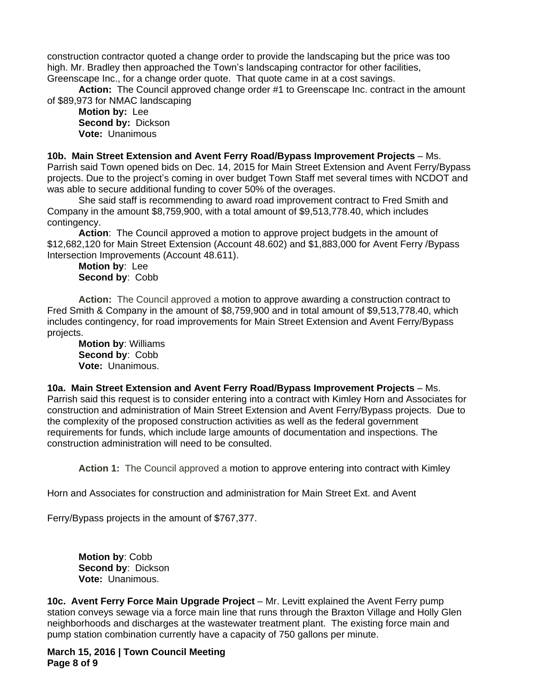construction contractor quoted a change order to provide the landscaping but the price was too high. Mr. Bradley then approached the Town's landscaping contractor for other facilities, Greenscape Inc., for a change order quote. That quote came in at a cost savings.

**Action:** The Council approved change order #1 to Greenscape Inc. contract in the amount of \$89,973 for NMAC landscaping

**Motion by:** Lee **Second by:** Dickson **Vote:** Unanimous

**10b. Main Street Extension and Avent Ferry Road/Bypass Improvement Projects** – Ms. Parrish said Town opened bids on Dec. 14, 2015 for Main Street Extension and Avent Ferry/Bypass projects. Due to the project's coming in over budget Town Staff met several times with NCDOT and was able to secure additional funding to cover 50% of the overages.

She said staff is recommending to award road improvement contract to Fred Smith and Company in the amount \$8,759,900, with a total amount of \$9,513,778.40, which includes contingency.

**Action**: The Council approved a motion to approve project budgets in the amount of \$12,682,120 for Main Street Extension (Account 48.602) and \$1,883,000 for Avent Ferry /Bypass Intersection Improvements (Account 48.611).

**Motion by**: Lee **Second by**: Cobb

**Action:** The Council approved a motion to approve awarding a construction contract to Fred Smith & Company in the amount of \$8,759,900 and in total amount of \$9,513,778.40, which includes contingency, for road improvements for Main Street Extension and Avent Ferry/Bypass projects.

**Motion by**: Williams **Second by**: Cobb **Vote:** Unanimous.

**10a. Main Street Extension and Avent Ferry Road/Bypass Improvement Projects** – Ms. Parrish said this request is to consider entering into a contract with Kimley Horn and Associates for construction and administration of Main Street Extension and Avent Ferry/Bypass projects. Due to the complexity of the proposed construction activities as well as the federal government requirements for funds, which include large amounts of documentation and inspections. The construction administration will need to be consulted.

**Action 1:** The Council approved a motion to approve entering into contract with Kimley

Horn and Associates for construction and administration for Main Street Ext. and Avent

Ferry/Bypass projects in the amount of \$767,377.

**Motion by**: Cobb **Second by**: Dickson **Vote:** Unanimous.

**10c. Avent Ferry Force Main Upgrade Project** – Mr. Levitt explained the Avent Ferry pump station conveys sewage via a force main line that runs through the Braxton Village and Holly Glen neighborhoods and discharges at the wastewater treatment plant. The existing force main and pump station combination currently have a capacity of 750 gallons per minute.

**March 15, 2016 | Town Council Meeting Page 8 of 9**